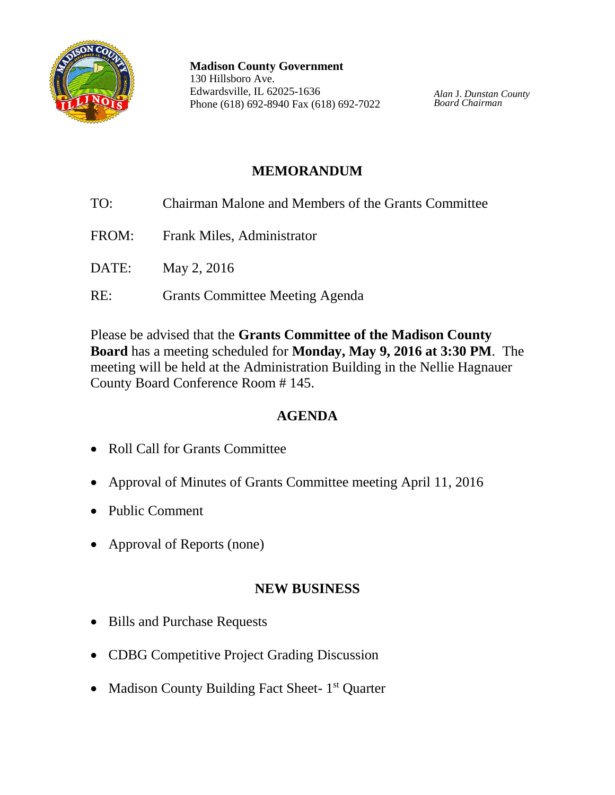

**Madison County Government** 130 Hillsboro Ave. Edwardsville, IL 62025-1636 Phone (618) 692-8940 Fax (618) 692-7022

*Alan* J. *Dunstan County Board Chairman*

### **MEMORANDUM**

- TO: Chairman Malone and Members of the Grants Committee FROM: Frank Miles, Administrator DATE: May 2, 2016
- RE: Grants Committee Meeting Agenda

Please be advised that the **Grants Committee of the Madison County Board** has a meeting scheduled for **Monday, May 9, 2016 at 3:30 PM**. The meeting will be held at the Administration Building in the Nellie Hagnauer County Board Conference Room # 145.

# **AGENDA**

- Roll Call for Grants Committee
- Approval of Minutes of Grants Committee meeting April 11, 2016
- Public Comment
- Approval of Reports (none)

## **NEW BUSINESS**

- Bills and Purchase Requests
- CDBG Competitive Project Grading Discussion
- Madison County Building Fact Sheet- 1<sup>st</sup> Quarter